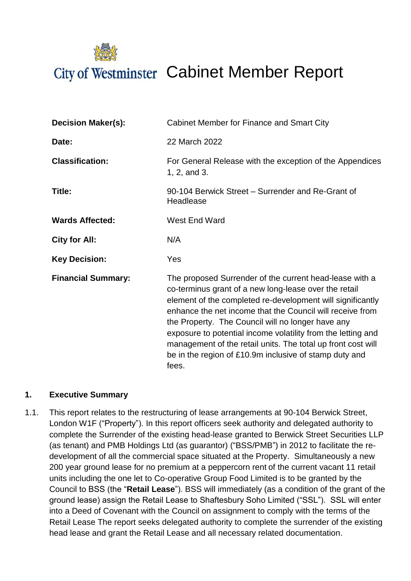

| <b>Decision Maker(s):</b> | Cabinet Member for Finance and Smart City                                                                                                                                                                                                                                                                                                                                                                                                                                                           |  |  |
|---------------------------|-----------------------------------------------------------------------------------------------------------------------------------------------------------------------------------------------------------------------------------------------------------------------------------------------------------------------------------------------------------------------------------------------------------------------------------------------------------------------------------------------------|--|--|
| Date:                     | 22 March 2022                                                                                                                                                                                                                                                                                                                                                                                                                                                                                       |  |  |
| <b>Classification:</b>    | For General Release with the exception of the Appendices<br>1, 2, and 3.                                                                                                                                                                                                                                                                                                                                                                                                                            |  |  |
| Title:                    | 90-104 Berwick Street - Surrender and Re-Grant of<br>Headlease                                                                                                                                                                                                                                                                                                                                                                                                                                      |  |  |
| <b>Wards Affected:</b>    | West End Ward                                                                                                                                                                                                                                                                                                                                                                                                                                                                                       |  |  |
| City for All:             | N/A                                                                                                                                                                                                                                                                                                                                                                                                                                                                                                 |  |  |
| <b>Key Decision:</b>      | Yes                                                                                                                                                                                                                                                                                                                                                                                                                                                                                                 |  |  |
| <b>Financial Summary:</b> | The proposed Surrender of the current head-lease with a<br>co-terminus grant of a new long-lease over the retail<br>element of the completed re-development will significantly<br>enhance the net income that the Council will receive from<br>the Property. The Council will no longer have any<br>exposure to potential income volatility from the letting and<br>management of the retail units. The total up front cost will<br>be in the region of £10.9m inclusive of stamp duty and<br>fees. |  |  |

## **1. Executive Summary**

1.1. This report relates to the restructuring of lease arrangements at 90-104 Berwick Street, London W1F ("Property"). In this report officers seek authority and delegated authority to complete the Surrender of the existing head-lease granted to Berwick Street Securities LLP (as tenant) and PMB Holdings Ltd (as guarantor) ("BSS/PMB") in 2012 to facilitate the redevelopment of all the commercial space situated at the Property. Simultaneously a new 200 year ground lease for no premium at a peppercorn rent of the current vacant 11 retail units including the one let to Co-operative Group Food Limited is to be granted by the Council to BSS (the "**Retail Lease**"). BSS will immediately (as a condition of the grant of the ground lease) assign the Retail Lease to Shaftesbury Soho Limited ("SSL"). SSL will enter into a Deed of Covenant with the Council on assignment to comply with the terms of the Retail Lease The report seeks delegated authority to complete the surrender of the existing head lease and grant the Retail Lease and all necessary related documentation.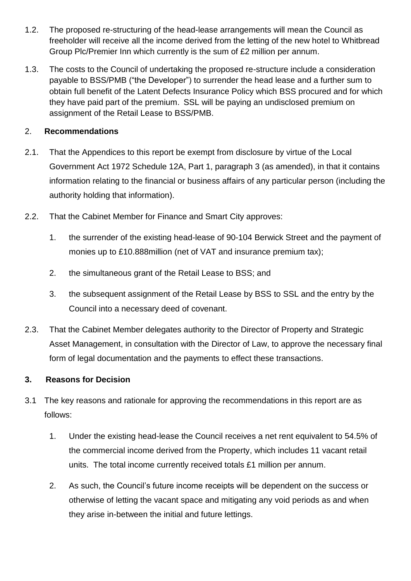- 1.2. The proposed re-structuring of the head-lease arrangements will mean the Council as freeholder will receive all the income derived from the letting of the new hotel to Whitbread Group Plc/Premier Inn which currently is the sum of £2 million per annum.
- 1.3. The costs to the Council of undertaking the proposed re-structure include a consideration payable to BSS/PMB ("the Developer") to surrender the head lease and a further sum to obtain full benefit of the Latent Defects Insurance Policy which BSS procured and for which they have paid part of the premium. SSL will be paying an undisclosed premium on assignment of the Retail Lease to BSS/PMB.

## 2. **Recommendations**

- 2.1. That the Appendices to this report be exempt from disclosure by virtue of the Local Government Act 1972 Schedule 12A, Part 1, paragraph 3 (as amended), in that it contains information relating to the financial or business affairs of any particular person (including the authority holding that information).
- 2.2. That the Cabinet Member for Finance and Smart City approves:
	- 1. the surrender of the existing head-lease of 90-104 Berwick Street and the payment of monies up to £10.888million (net of VAT and insurance premium tax);
	- 2. the simultaneous grant of the Retail Lease to BSS; and
	- 3. the subsequent assignment of the Retail Lease by BSS to SSL and the entry by the Council into a necessary deed of covenant.
- 2.3. That the Cabinet Member delegates authority to the Director of Property and Strategic Asset Management, in consultation with the Director of Law, to approve the necessary final form of legal documentation and the payments to effect these transactions.

# **3. Reasons for Decision**

- 3.1 The key reasons and rationale for approving the recommendations in this report are as follows:
	- 1. Under the existing head-lease the Council receives a net rent equivalent to 54.5% of the commercial income derived from the Property, which includes 11 vacant retail units. The total income currently received totals £1 million per annum.
	- 2. As such, the Council's future income receipts will be dependent on the success or otherwise of letting the vacant space and mitigating any void periods as and when they arise in-between the initial and future lettings.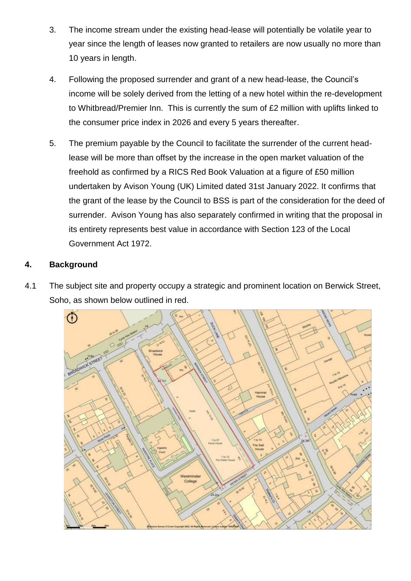- 3. The income stream under the existing head-lease will potentially be volatile year to year since the length of leases now granted to retailers are now usually no more than 10 years in length.
- 4. Following the proposed surrender and grant of a new head-lease, the Council's income will be solely derived from the letting of a new hotel within the re-development to Whitbread/Premier Inn. This is currently the sum of £2 million with uplifts linked to the consumer price index in 2026 and every 5 years thereafter.
- 5. The premium payable by the Council to facilitate the surrender of the current headlease will be more than offset by the increase in the open market valuation of the freehold as confirmed by a RICS Red Book Valuation at a figure of £50 million undertaken by Avison Young (UK) Limited dated 31st January 2022. It confirms that the grant of the lease by the Council to BSS is part of the consideration for the deed of surrender. Avison Young has also separately confirmed in writing that the proposal in its entirety represents best value in accordance with Section 123 of the Local Government Act 1972.

## **4. Background**

4.1 The subject site and property occupy a strategic and prominent location on Berwick Street, Soho, as shown below outlined in red.

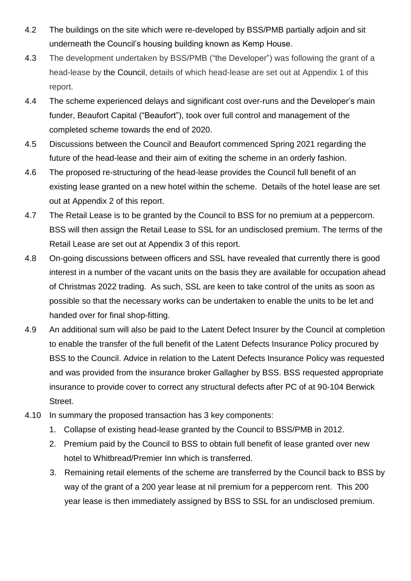- 4.2 The buildings on the site which were re-developed by BSS/PMB partially adjoin and sit underneath the Council's housing building known as Kemp House.
- 4.3 The development undertaken by BSS/PMB ("the Developer") was following the grant of a head-lease by the Council, details of which head-lease are set out at Appendix 1 of this report.
- 4.4 The scheme experienced delays and significant cost over-runs and the Developer's main funder, Beaufort Capital ("Beaufort"), took over full control and management of the completed scheme towards the end of 2020.
- 4.5 Discussions between the Council and Beaufort commenced Spring 2021 regarding the future of the head-lease and their aim of exiting the scheme in an orderly fashion.
- 4.6 The proposed re-structuring of the head-lease provides the Council full benefit of an existing lease granted on a new hotel within the scheme. Details of the hotel lease are set out at Appendix 2 of this report.
- 4.7 The Retail Lease is to be granted by the Council to BSS for no premium at a peppercorn. BSS will then assign the Retail Lease to SSL for an undisclosed premium. The terms of the Retail Lease are set out at Appendix 3 of this report.
- 4.8 On-going discussions between officers and SSL have revealed that currently there is good interest in a number of the vacant units on the basis they are available for occupation ahead of Christmas 2022 trading. As such, SSL are keen to take control of the units as soon as possible so that the necessary works can be undertaken to enable the units to be let and handed over for final shop-fitting.
- 4.9 An additional sum will also be paid to the Latent Defect Insurer by the Council at completion to enable the transfer of the full benefit of the Latent Defects Insurance Policy procured by BSS to the Council. Advice in relation to the Latent Defects Insurance Policy was requested and was provided from the insurance broker Gallagher by BSS. BSS requested appropriate insurance to provide cover to correct any structural defects after PC of at 90-104 Berwick Street.
- 4.10 In summary the proposed transaction has 3 key components:
	- 1. Collapse of existing head-lease granted by the Council to BSS/PMB in 2012.
	- 2. Premium paid by the Council to BSS to obtain full benefit of lease granted over new hotel to Whitbread/Premier Inn which is transferred.
	- 3. Remaining retail elements of the scheme are transferred by the Council back to BSS by way of the grant of a 200 year lease at nil premium for a peppercorn rent. This 200 year lease is then immediately assigned by BSS to SSL for an undisclosed premium.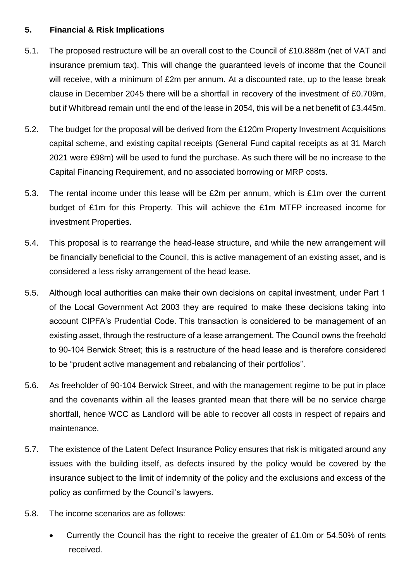### **5. Financial & Risk Implications**

- 5.1. The proposed restructure will be an overall cost to the Council of £10.888m (net of VAT and insurance premium tax). This will change the guaranteed levels of income that the Council will receive, with a minimum of £2m per annum. At a discounted rate, up to the lease break clause in December 2045 there will be a shortfall in recovery of the investment of £0.709m, but if Whitbread remain until the end of the lease in 2054, this will be a net benefit of £3.445m.
- 5.2. The budget for the proposal will be derived from the £120m Property Investment Acquisitions capital scheme, and existing capital receipts (General Fund capital receipts as at 31 March 2021 were £98m) will be used to fund the purchase. As such there will be no increase to the Capital Financing Requirement, and no associated borrowing or MRP costs.
- 5.3. The rental income under this lease will be £2m per annum, which is £1m over the current budget of £1m for this Property. This will achieve the £1m MTFP increased income for investment Properties.
- 5.4. This proposal is to rearrange the head-lease structure, and while the new arrangement will be financially beneficial to the Council, this is active management of an existing asset, and is considered a less risky arrangement of the head lease.
- 5.5. Although local authorities can make their own decisions on capital investment, under Part 1 of the Local Government Act 2003 they are required to make these decisions taking into account CIPFA's Prudential Code. This transaction is considered to be management of an existing asset, through the restructure of a lease arrangement. The Council owns the freehold to 90-104 Berwick Street; this is a restructure of the head lease and is therefore considered to be "prudent active management and rebalancing of their portfolios".
- 5.6. As freeholder of 90-104 Berwick Street, and with the management regime to be put in place and the covenants within all the leases granted mean that there will be no service charge shortfall, hence WCC as Landlord will be able to recover all costs in respect of repairs and maintenance.
- 5.7. The existence of the Latent Defect Insurance Policy ensures that risk is mitigated around any issues with the building itself, as defects insured by the policy would be covered by the insurance subject to the limit of indemnity of the policy and the exclusions and excess of the policy as confirmed by the Council's lawyers.
- 5.8. The income scenarios are as follows:
	- Currently the Council has the right to receive the greater of £1.0m or 54.50% of rents received.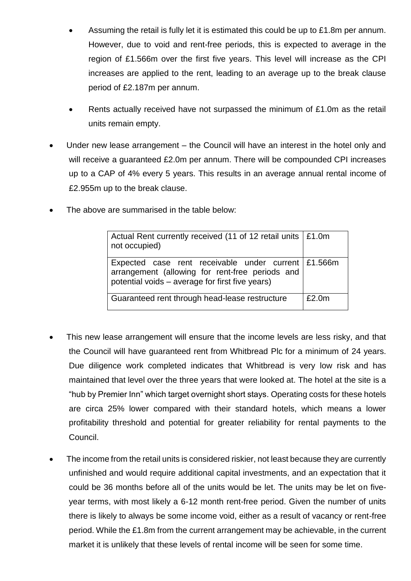- Assuming the retail is fully let it is estimated this could be up to £1.8m per annum. However, due to void and rent-free periods, this is expected to average in the region of £1.566m over the first five years. This level will increase as the CPI increases are applied to the rent, leading to an average up to the break clause period of £2.187m per annum.
- Rents actually received have not surpassed the minimum of £1.0m as the retail units remain empty.
- Under new lease arrangement the Council will have an interest in the hotel only and will receive a guaranteed £2.0m per annum. There will be compounded CPI increases up to a CAP of 4% every 5 years. This results in an average annual rental income of £2.955m up to the break clause.
- The above are summarised in the table below:

| Actual Rent currently received (11 of 12 retail units   £1.0m<br>not occupied)                                                                            |       |
|-----------------------------------------------------------------------------------------------------------------------------------------------------------|-------|
| Expected case rent receivable under current £1.566m<br>arrangement (allowing for rent-free periods and<br>potential voids - average for first five years) |       |
| Guaranteed rent through head-lease restructure                                                                                                            | £2.0m |

- This new lease arrangement will ensure that the income levels are less risky, and that the Council will have guaranteed rent from Whitbread Plc for a minimum of 24 years. Due diligence work completed indicates that Whitbread is very low risk and has maintained that level over the three years that were looked at. The hotel at the site is a "hub by Premier Inn" which target overnight short stays. Operating costs for these hotels are circa 25% lower compared with their standard hotels, which means a lower profitability threshold and potential for greater reliability for rental payments to the Council.
- The income from the retail units is considered riskier, not least because they are currently unfinished and would require additional capital investments, and an expectation that it could be 36 months before all of the units would be let. The units may be let on fiveyear terms, with most likely a 6-12 month rent-free period. Given the number of units there is likely to always be some income void, either as a result of vacancy or rent-free period. While the £1.8m from the current arrangement may be achievable, in the current market it is unlikely that these levels of rental income will be seen for some time.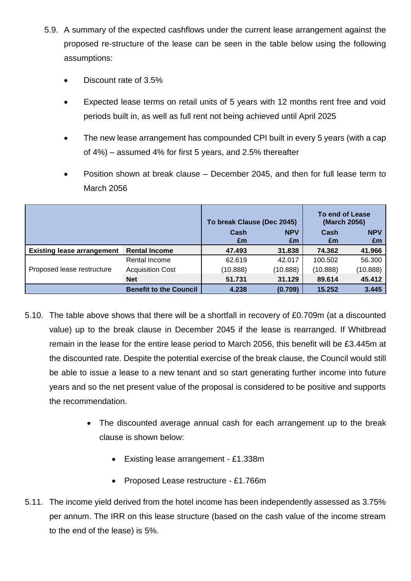- 5.9. A summary of the expected cashflows under the current lease arrangement against the proposed re-structure of the lease can be seen in the table below using the following assumptions:
	- Discount rate of 3.5%
	- Expected lease terms on retail units of 5 years with 12 months rent free and void periods built in, as well as full rent not being achieved until April 2025
	- The new lease arrangement has compounded CPI built in every 5 years (with a cap of 4%) – assumed 4% for first 5 years, and 2.5% thereafter
	- Position shown at break clause December 2045, and then for full lease term to March 2056

|                                   |                               | To break Clause (Dec 2045) |                  | To end of Lease<br>(March 2056) |                  |
|-----------------------------------|-------------------------------|----------------------------|------------------|---------------------------------|------------------|
|                                   |                               | Cash<br>£m                 | <b>NPV</b><br>£m | Cash<br>£m                      | <b>NPV</b><br>£m |
| <b>Existing lease arrangement</b> | <b>Rental Income</b>          | 47.493                     | 31.838           | 74.362                          | 41.966           |
| Proposed lease restructure        | Rental Income                 | 62.619                     | 42.017           | 100.502                         | 56.300           |
|                                   | <b>Acquisition Cost</b>       | (10.888)                   | (10.888)         | (10.888)                        | (10.888)         |
|                                   | <b>Net</b>                    | 51.731                     | 31.129           | 89.614                          | 45.412           |
|                                   | <b>Benefit to the Council</b> | 4.238                      | (0.709)          | 15.252                          | 3.445            |

- 5.10. The table above shows that there will be a shortfall in recovery of £0.709m (at a discounted value) up to the break clause in December 2045 if the lease is rearranged. If Whitbread remain in the lease for the entire lease period to March 2056, this benefit will be £3.445m at the discounted rate. Despite the potential exercise of the break clause, the Council would still be able to issue a lease to a new tenant and so start generating further income into future years and so the net present value of the proposal is considered to be positive and supports the recommendation.
	- The discounted average annual cash for each arrangement up to the break clause is shown below:
		- Existing lease arrangement £1.338m
		- Proposed Lease restructure £1.766m
- 5.11. The income yield derived from the hotel income has been independently assessed as 3.75% per annum. The IRR on this lease structure (based on the cash value of the income stream to the end of the lease) is 5%.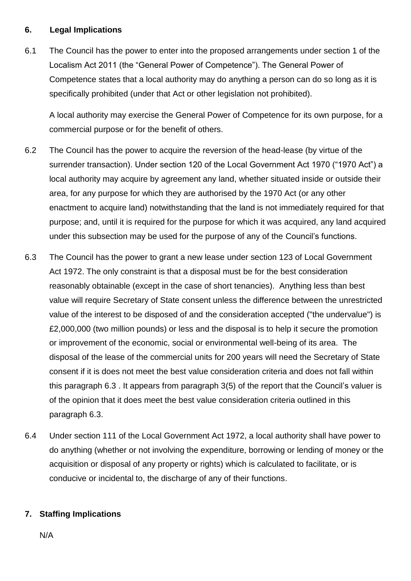## **6. Legal Implications**

6.1 The Council has the power to enter into the proposed arrangements under section 1 of the Localism Act 2011 (the "General Power of Competence"). The General Power of Competence states that a local authority may do anything a person can do so long as it is specifically prohibited (under that Act or other legislation not prohibited).

A local authority may exercise the General Power of Competence for its own purpose, for a commercial purpose or for the benefit of others.

- 6.2 The Council has the power to acquire the reversion of the head-lease (by virtue of the surrender transaction). Under section 120 of the Local Government Act 1970 ("1970 Act") a local authority may acquire by agreement any land, whether situated inside or outside their area, for any purpose for which they are authorised by the 1970 Act (or any other enactment to acquire land) notwithstanding that the land is not immediately required for that purpose; and, until it is required for the purpose for which it was acquired, any land acquired under this subsection may be used for the purpose of any of the Council's functions.
- 6.3 The Council has the power to grant a new lease under section 123 of Local Government Act 1972. The only constraint is that a disposal must be for the best consideration reasonably obtainable (except in the case of short tenancies). Anything less than best value will require Secretary of State consent unless the difference between the unrestricted value of the interest to be disposed of and the consideration accepted ("the undervalue") is £2,000,000 (two million pounds) or less and the disposal is to help it secure the promotion or improvement of the economic, social or environmental well-being of its area. The disposal of the lease of the commercial units for 200 years will need the Secretary of State consent if it is does not meet the best value consideration criteria and does not fall within this paragraph 6.3 . It appears from paragraph 3(5) of the report that the Council's valuer is of the opinion that it does meet the best value consideration criteria outlined in this paragraph 6.3.
- 6.4 Under section 111 of the Local Government Act 1972, a local authority shall have power to do anything (whether or not involving the expenditure, borrowing or lending of money or the acquisition or disposal of any property or rights) which is calculated to facilitate, or is conducive or incidental to, the discharge of any of their functions.

# **7. Staffing Implications**

N/A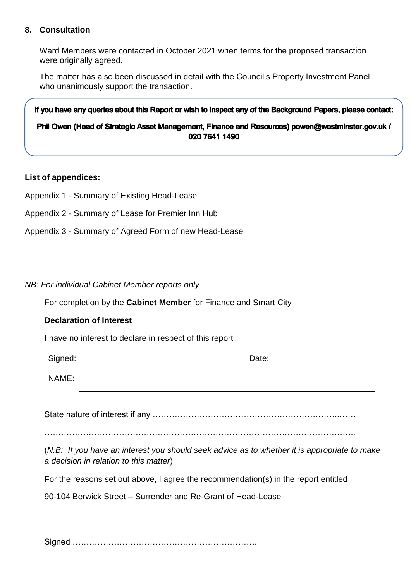#### **8. Consultation**

Ward Members were contacted in October 2021 when terms for the proposed transaction were originally agreed.

The matter has also been discussed in detail with the Council's Property Investment Panel who unanimously support the transaction.

If you have any queries about this Report or wish to inspect any of the Background Papers, please contact: Phil Owen (Head of Strategic Asset Management, Finance and Resources) powen@westminster.gov.uk / 020 7641 1490

#### **List of appendices:**

- Appendix 1 Summary of Existing Head-Lease
- Appendix 2 Summary of Lease for Premier Inn Hub
- Appendix 3 Summary of Agreed Form of new Head-Lease

#### *NB: For individual Cabinet Member reports only*

For completion by the **Cabinet Member** for Finance and Smart City

#### **Declaration of Interest**

I have no interest to declare in respect of this report

| Signed: | Date: |  |
|---------|-------|--|
| NAME:   |       |  |

State nature of interest if any …………………………………………………………..……

…………………………………………………………………………………………………..

(*N.B: If you have an interest you should seek advice as to whether it is appropriate to make a decision in relation to this matter*)

For the reasons set out above, I agree the recommendation(s) in the report entitled

90-104 Berwick Street – Surrender and Re-Grant of Head-Lease

Signed ………………………………………………………….